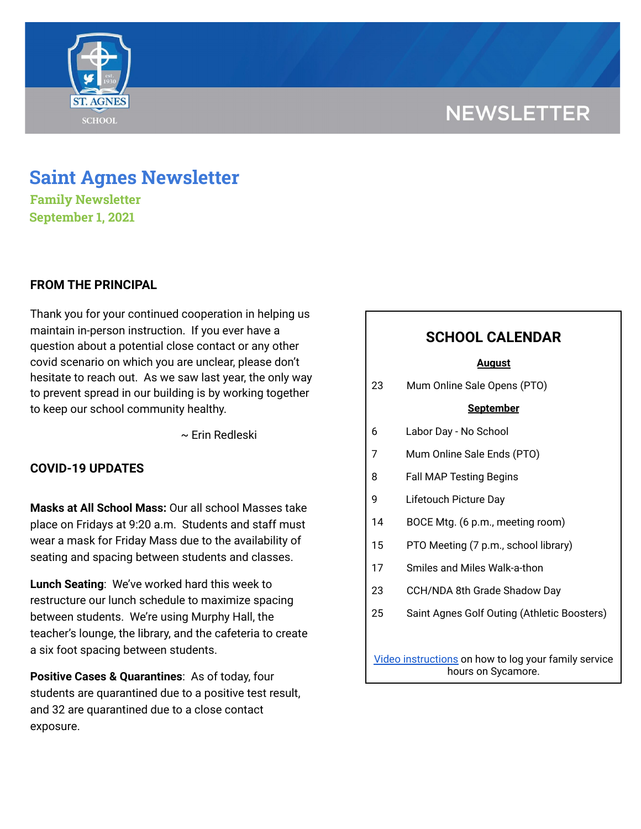# **NEWSLETTER**



# **Saint Agnes Newsletter**

**Family Newsletter September 1, 2021**

## **FROM THE PRINCIPAL**

Thank you for your continued cooperation in helping us maintain in-person instruction. If you ever have a question about a potential close contact or any other covid scenario on which you are unclear, please don't hesitate to reach out. As we saw last year, the only way to prevent spread in our building is by working together to keep our school community healthy.

~ Erin Redleski

## **COVID-19 UPDATES**

**Masks at All School Mass:** Our all school Masses take place on Fridays at 9:20 a.m. Students and staff must wear a mask for Friday Mass due to the availability of seating and spacing between students and classes.

**Lunch Seating**: We've worked hard this week to restructure our lunch schedule to maximize spacing between students. We're using Murphy Hall, the teacher's lounge, the library, and the cafeteria to create a six foot spacing between students.

**Positive Cases & Quarantines**: As of today, four students are quarantined due to a positive test result, and 32 are quarantined due to a close contact exposure.

## **SCHOOL CALENDAR**

#### **August**

23 Mum Online Sale Opens (PTO)

#### **September**

- 6 Labor Day No School
- 7 Mum Online Sale Ends (PTO)
- 8 Fall MAP Testing Begins
- 9 Lifetouch Picture Day
- 14 BOCE Mtg. (6 p.m., meeting room)
- 15 PTO Meeting (7 p.m., school library)
- 17 Smiles and Miles Walk-a-thon
- 23 CCH/NDA 8th Grade Shadow Day
- 25 Saint Agnes Golf Outing (Athletic Boosters)

Video [instructions](https://drive.google.com/file/d/1cmYj9N-NF2btSiiG8QdTD20q2RJRpwk7/view?usp=sharing) on how to log your family service hours on Sycamore.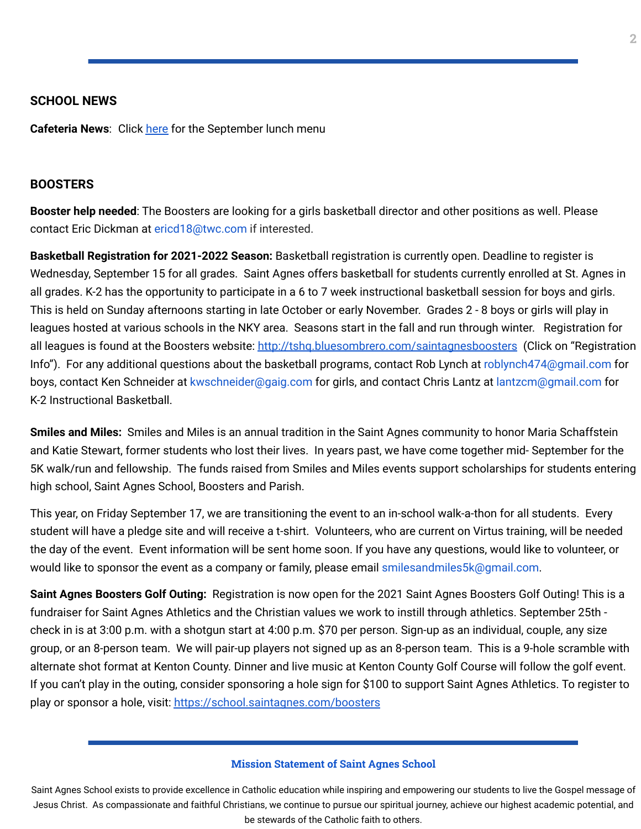#### **SCHOOL NEWS**

**Cafeteria News**: Click [here](https://school.saintagnes.com/wp-content/uploads/2021/08/Sept-ES-Menu.pdf) for the September lunch menu

#### **BOOSTERS**

**Booster help needed**: The Boosters are looking for a girls basketball director and other positions as well. Please contact Eric Dickman at ericd18@twc.com if interested.

**Basketball Registration for 2021-2022 Season:** Basketball registration is currently open. Deadline to register is Wednesday, September 15 for all grades. Saint Agnes offers basketball for students currently enrolled at St. Agnes in all grades. K-2 has the opportunity to participate in a 6 to 7 week instructional basketball session for boys and girls. This is held on Sunday afternoons starting in late October or early November. Grades 2 - 8 boys or girls will play in leagues hosted at various schools in the NKY area. Seasons start in the fall and run through winter. Registration for all leagues is found at the Boosters website: [http://tshq.bluesombrero.com/saintagnesboosters](https://urldefense.com/v3/__http:/tshq.bluesombrero.com/saintagnesboosters__;!!CsmrWXz9mOkSc4Hdn1fjj00!kHApvHlF-qTDyFF0uqUvT4URmQ4V13G9s2IVn6UEFeBIs9u27oKcSoL3n4kZC1VR$) (Click on "Registration Info"). For any additional questions about the basketball programs, contact Rob Lynch at roblynch474@gmail.com for boys, contact Ken Schneider at kwschneider@gaig.com for girls, and contact Chris Lantz at lantzcm@gmail.com for K-2 Instructional Basketball.

**Smiles and Miles:** Smiles and Miles is an annual tradition in the Saint Agnes community to honor Maria Schaffstein and Katie Stewart, former students who lost their lives. In years past, we have come together mid- September for the 5K walk/run and fellowship. The funds raised from Smiles and Miles events support scholarships for students entering high school, Saint Agnes School, Boosters and Parish.

This year, on Friday September 17, we are transitioning the event to an in-school walk-a-thon for all students. Every student will have a pledge site and will receive a t-shirt. Volunteers, who are current on Virtus training, will be needed the day of the event. Event information will be sent home soon. If you have any questions, would like to volunteer, or would like to sponsor the event as a company or family, please email smilesandmiles5k@gmail.com.

**Saint Agnes Boosters Golf Outing:** Registration is now open for the 2021 Saint Agnes Boosters Golf Outing! This is a fundraiser for Saint Agnes Athletics and the Christian values we work to instill through athletics. September 25th check in is at 3:00 p.m. with a shotgun start at 4:00 p.m. \$70 per person. Sign-up as an individual, couple, any size group, or an 8-person team. We will pair-up players not signed up as an 8-person team. This is a 9-hole scramble with alternate shot format at Kenton County. Dinner and live music at Kenton County Golf Course will follow the golf event. If you can't play in the outing, consider sponsoring a hole sign for \$100 to support Saint Agnes Athletics. To register to play or sponsor a hole, visit: <https://school.saintagnes.com/boosters>

#### **Mission Statement of Saint Agnes School**

Saint Agnes School exists to provide excellence in Catholic education while inspiring and empowering our students to live the Gospel message of Jesus Christ. As compassionate and faithful Christians, we continue to pursue our spiritual journey, achieve our highest academic potential, and be stewards of the Catholic faith to others.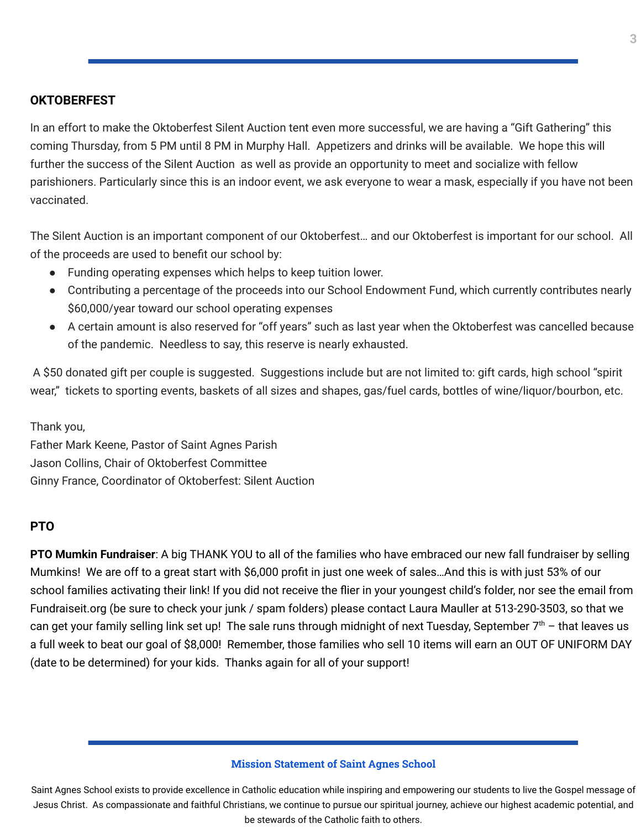### **OKTOBERFEST**

In an effort to make the Oktoberfest Silent Auction tent even more successful, we are having a "Gift Gathering" this coming Thursday, from 5 PM until 8 PM in Murphy Hall. Appetizers and drinks will be available. We hope this will further the success of the Silent Auction as well as provide an opportunity to meet and socialize with fellow parishioners. Particularly since this is an indoor event, we ask everyone to wear a mask, especially if you have not been vaccinated.

The Silent Auction is an important component of our Oktoberfest… and our Oktoberfest is important for our school. All of the proceeds are used to benefit our school by:

- Funding operating expenses which helps to keep tuition lower.
- Contributing a percentage of the proceeds into our School Endowment Fund, which currently contributes nearly \$60,000/year toward our school operating expenses
- A certain amount is also reserved for "off years" such as last year when the Oktoberfest was cancelled because of the pandemic. Needless to say, this reserve is nearly exhausted.

A \$50 donated gift per couple is suggested. Suggestions include but are not limited to: gift cards, high school "spirit wear," tickets to sporting events, baskets of all sizes and shapes, gas/fuel cards, bottles of wine/liquor/bourbon, etc.

Thank you,

Father Mark Keene, Pastor of Saint Agnes Parish Jason Collins, Chair of Oktoberfest Committee Ginny France, Coordinator of Oktoberfest: Silent Auction

### **PTO**

**PTO Mumkin Fundraiser**: A big THANK YOU to all of the families who have embraced our new fall fundraiser by selling Mumkins! We are off to a great start with \$6,000 profit in just one week of sales…And this is with just 53% of our school families activating their link! If you did not receive the flier in your youngest child's folder, nor see the email from Fundraiseit.org (be sure to check your junk / spam folders) please contact Laura Mauller at 513-290-3503, so that we can get your family selling link set up! The sale runs through midnight of next Tuesday, September  $7<sup>th</sup>$  – that leaves us a full week to beat our goal of \$8,000! Remember, those families who sell 10 items will earn an OUT OF UNIFORM DAY (date to be determined) for your kids. Thanks again for all of your support!

#### **Mission Statement of Saint Agnes School**

Saint Agnes School exists to provide excellence in Catholic education while inspiring and empowering our students to live the Gospel message of Jesus Christ. As compassionate and faithful Christians, we continue to pursue our spiritual journey, achieve our highest academic potential, and be stewards of the Catholic faith to others.